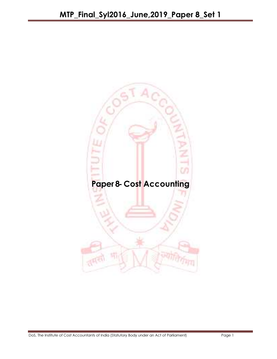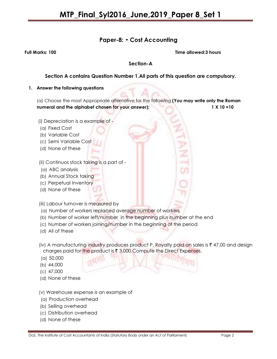## Paper-8: - Cost Accounting

Full Marks: 100 Time allowed:3 hours

### Section-A

### Section A contains Question Number 1.All parts of this question are compulsory.

#### 1. Answer the following questions

(a) Choose the most Appropriate alternative for the following (You may write only the Roman numeral and the alphabet chosen for your answer); 1 X 10 =10

- (i) Depreciation is a example of -
- (a) Fixed Cost
- (b) Variable Cost
- (c) Semi Variable Cost
- (d) None of these

(ii) Continuos stock taking is a part of -

- (a) ABC analysis
- (b) Annual Stock taking
- (c) Perpetual Inventory
- (d) None of these
- (iii) Labour turnover is measured by
- (a) Number of workers replaced average number of workers
- (b) Number of worker left/number in the beginning plus number at the end
- (c) Number of workers joining/number in the beginning of the period
- (d) All of these
- (iv) A manufacturing industry produces product P, Royalty paid on sales is  $\bar{\tau}$  47,00 and design charges paid for the product is  $\bar{x}$  3,000. Compute the Direct Expenses.
- (a) 50,000
- (b) 44,000
- (c) 47,000
- (d) None of these
- (v) Warehouse expense is an example of
- (a) Production overhead
- (b) Selling overhead
- (c) Distribution overhead
- (d) None of these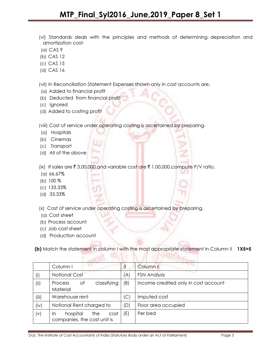- (vi) Standards deals with the principles and methods of determining depreciation and amortization cost-
- (a) CAS 9
- (b) CAS 12
- (c) CAS 15
- (d) CAS 16

(vii) In Reconciliation Statement Expenses shown only in cost accounts are.

- (a) Added to financial profit
- (b) Deducted from financial profit
- (c) Ignored
- (d) Added to costing profit

(viii) Cost of service under operating costing is ascertained by preparing.

- (a) Hospitals
- (b) Cinemas
- (c) Transport
- (d) All of the above

(ix) If sales are  $\bar{\tau}$  3,00,000 and variable cost are  $\bar{\tau}$  1,00,000.compute P/V ratio.

- (a) 66.67%
- (b) 100 %
- (c) 133.33%
- (d) 33.33%

(x) Cost of service under operating costing is ascertained by preparing.

- (a) Cost sheet
- (b) Process account
- (c) Job cost sheet
- (d) Production account

(b) Match the statement in column I with the most appropriate statement in Column II 1X5=5

|          | <b>COL</b><br>Column I                                       | 3   | Column II                            |
|----------|--------------------------------------------------------------|-----|--------------------------------------|
| (i)      | <b>Notional Cost</b>                                         | (A) | <b>FSN Analysis</b>                  |
| (ii)     | classifying<br>оf<br><b>Process</b><br>Material              | (B) | Income credited only in cost account |
| (iii)    | Warehouse rent                                               | (C  | Imputed cost                         |
| (iv)     | Notional Rent charged to                                     | (D) | Floor area occupied                  |
| $(\vee)$ | hospital<br>the<br>cost<br>In<br>companies, the cost unit is | (E) | Per bed                              |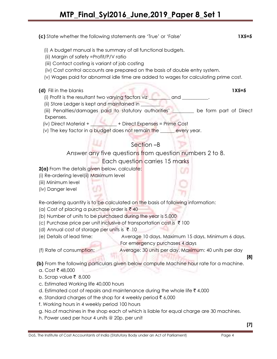# MTP\_Final\_Syl2016\_June,2019\_Paper 8\_Set 1

| (c) State whether the following statements are 'True' or 'False'       |                                                                                             | $1X5=5$ |
|------------------------------------------------------------------------|---------------------------------------------------------------------------------------------|---------|
|                                                                        | (i) A budget manual is the summary of all functional budgets.                               |         |
| (ii) Margin of safety =Profit/P/V ratio                                |                                                                                             |         |
| (iii) Contact costing is variant of job costing                        |                                                                                             |         |
|                                                                        | (iv) Cost control accounts are prepared on the basis of double entry system.                |         |
|                                                                        | (v) Wages paid for abnormal idle time are added to wages for calculating prime cost.        |         |
| (d) Fill in the blanks                                                 |                                                                                             | $1X5=5$ |
|                                                                        | (i) Profit is the resultant two varying factors viz<br>electronic and electronic contracts. |         |
| (ii) Store Ledger is kept and maintained in                            |                                                                                             |         |
|                                                                        | (iii) Penalties/damages paid to statutory authorities' Letter Lote form part of Direct      |         |
| Expenses.                                                              |                                                                                             |         |
|                                                                        | (iv) Direct Material + ___________ + Direct Expenses = Prime Cost                           |         |
|                                                                        | $(v)$ The key factor in a budget does not remain the $\frac{1}{\sqrt{2}}$ every year.       |         |
|                                                                        | Section -B                                                                                  |         |
|                                                                        | Answer any five questions from question numbers 2 to 8.                                     |         |
|                                                                        | Each question carries 15 marks                                                              |         |
| 2(a) From the details given below, calculate:                          |                                                                                             |         |
| (i) Re-ordering level(ii) Maximum level                                |                                                                                             |         |
| (iii) Minimum level                                                    |                                                                                             |         |
| (iv) Danger level                                                      |                                                                                             |         |
|                                                                        |                                                                                             |         |
|                                                                        | Re-ordering quantity is to be calculated on the basis of following information:             |         |
| (a) Cost of placing a purchase order is ₹40                            |                                                                                             |         |
| (b) Number of units to be purchased during the year is 5,000           |                                                                                             |         |
|                                                                        | (c) Purchase price per unit inclusive of transportation cost is ₹ 100                       |         |
| (d) Annual cost of storage per units is ₹ 10                           |                                                                                             |         |
| (e) Details of lead time:                                              | Average 10 days, Maximum 15 days, Minimum 6 days.                                           |         |
|                                                                        | For emergency purchases 4 days                                                              |         |
| (f) Rate of consumption:                                               | Average: 30 units per day, Maximum: 40 units per day                                        | [8]     |
|                                                                        | (b) From the following particulars given below compute Machine hour rate for a machine.     |         |
| a. Cost ₹ 48,000                                                       |                                                                                             |         |
| b. Scrap value ₹ 8,000                                                 |                                                                                             |         |
| c. Estimated Working life 40,000 hours                                 |                                                                                             |         |
|                                                                        | d. Estimated cost of repairs and maintenance during the whole life $\bar{\tau}$ 4,000       |         |
| e. Standard charges of the shop for 4 weekly period $\bar{\tau}$ 6,000 |                                                                                             |         |
| f. Working hours in 4 weekly period 100 hours                          |                                                                                             |         |
|                                                                        | g. No.of machines in the shop each of which is liable for equal charge are 30 machines.     |         |

h. Power used per hour 4 units @ 20p. per unit

[7]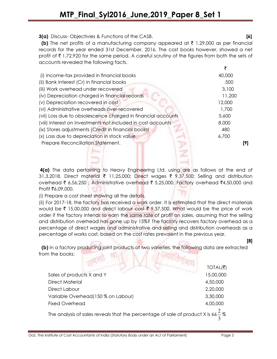3(a) Discuss- Objectivies & Functions of the CASB. [6]

(b) The net profits of a manufacturing company appeared at  $\bar{\tau}$  1,29,000 as per financial records for the year ended 31st December, 2016. The cost books however, showed a net profit of  $\bar{\tau}$  1,72,920 for the same period. A careful scrutiny of the figures from both the sets of accounts revealed the following facts.

|                                                              | ₹      |
|--------------------------------------------------------------|--------|
| (i) Income-tax provided in financial books                   | 40,000 |
| (ii) Bank Interest (Cr) in financial books                   | 500    |
| (iii) Work overhead under recovered                          | 3,100  |
| (iv) Depreciation charged in financial records               | 11,200 |
| (v) Depreciation recovered in cost                           | 12,000 |
| (vi) Administrative overheads over-recovered                 | 1,700  |
| (vii) Loss due to obsolescence charged in financial accounts | 5,600  |
| (viii) Interest on Investments not included in cost accounts | 8,000  |
| (ix) Stores adjustments (Credit in financial books)          | 480    |
| (x) Loss due to depreciation in stock value                  | 6,700  |
| Prepare Reconciliation Statement.                            | [9]    |
|                                                              |        |

4(a) The data pertaining to Heavy Engineering Ltd. using are as follows at the end of 31.3.2018. Direct material  $\bar{\tau}$  11,25,000; Direct wages  $\bar{\tau}$  9,37,500; Selling and distribution overhead ₹ 6,56,250 ; Administrative overhead ₹ 5,25,000, Factory overhead ₹4,50,000 and Profit ₹6,09,000.

(i) Prepare a cost sheet showing all the details.

(ii) For 2017-18, the factory has received a work order. It is estimated that the direct materials would be  $\bar{\tau}$  15,00,000 and direct labour cost  $\bar{\tau}$  9,37,500. What would be the price of work order if the factory intends to earn the same rate of profit on sales, assuming that the selling and distribution overhead has gone up by 15%? The factory recovers factory overhead as a percentage of direct wages and administrative and selling and distribution overheads as a percentage of works cost, based on the cost rates prevalent in the previous year.

 (b) In a factory producing joint products of two varieties, the following data are extracted from the books: FULL A STRITTLE T

|                                                                                             | TOTAL(₹)  |
|---------------------------------------------------------------------------------------------|-----------|
| Sales of products X and Y                                                                   | 15,00,000 |
| <b>Direct Material</b>                                                                      | 4,50,000  |
| Direct Labour                                                                               | 2,20,000  |
| Variable Overhead(150 % on Labour)                                                          | 3,30,000  |
| <b>Fixed Overhead</b>                                                                       | 4,00,000  |
| The analysis of sales reveals that the percentage of sale of product X is $66\frac{2}{3}\%$ |           |

[8]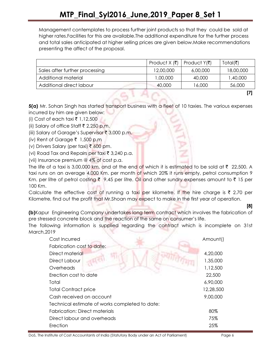Management contemplates to process further joint products so that they could be sold at higher rates.Facilities for this are available.The additional expenditure for the further process and total sales anticipated at higher selling prices are given below.Make recommendations presenting the affect of the proposal.

|                                | Product $X(\overline{\mathbf{x}})$ | Product Y(₹) | Total(₹)  |
|--------------------------------|------------------------------------|--------------|-----------|
| Sales after further processing | 12,00,000                          | 6,00,000     | 18,00,000 |
| Additional material            | 1,00,000                           | 40,000       | 1,40,000  |
| Additional direct labour       | 40,000                             | 16,000       | 56,000    |
|                                |                                    |              |           |

5(a) Mr. Sohan Singh has started transport business with a fleet of 10 taxies. The various expenses incurred by him are given below:

- (i) Cost of each taxi ₹ 1,12,500
- (ii) Salary of office Staff  $\bar{\tau}$  2,250 p.m.
- (iii) Salary of Garage's Supervisor  $\overline{\zeta}$  3,000 p.m.
- (iv) Rent of Garage  $\bar{\tau}$  1,500 p.m
- (v) Drivers Salary (per taxi) ₹ 600 pm.
- (vi) Road Tax and Repairs per taxi  $\bar{\tau}$  3,240 p.a.
- (vii) Insurance premium @ 4% of cost p.a.

The life of a taxi is 3,00,000 km. and at the end of which it is estimated to be sold at  $\bar{\tau}$  22,500. A taxi runs on an average 4,000 Km. per month of which 20% it runs empty, petrol consumption 9 Km. per litre of petrol costing  $\bar{\tau}$  9.45 per litre. Oil and other sundry expenses amount to  $\bar{\tau}$  15 per 100 Km.

Calculate the effective cost of running a taxi per kilometre. If the hire charge is  $\bar{\tau}$  2.70 per Kilometre, find out the profit that Mr. Shoan may expect to make in the first year of operation.

[8]

(b)Kapur Engineering Company undertakes long term contract which involves the fabrication of pre stressed concrete block and the reaction of the same on consumer's life.

The following information is supplied regarding the contract which is incomplete on 31st March,2019

| Cost Incurred                                  | Amount()  |
|------------------------------------------------|-----------|
| Fabrication cost to date:                      |           |
| Direct material                                | 4,20,000  |
| Direct Labour                                  | 1,35,000  |
| Overheads                                      | 1,12,500  |
| Erection cost to date                          | 22,500    |
| Total                                          | 6,90,000  |
| <b>Total Contract price</b>                    | 12,28,500 |
| Cash received on account                       | 9,00,000  |
| Technical estimate of works completed to date: |           |
| <b>Fabrication: Direct materials</b>           | 80%       |
| Direct labour and overheads                    | 75%       |
| Erection                                       | 25%       |

DoS, The Institute of Cost Accountants of India (Statutory Body under an Act of Parliament) Page 6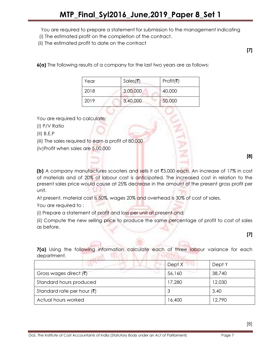You are required to prepare a statement for submission to the management indicating

- (i) The estimated profit on the completion of the contract.
- (ii) The estimated profit to date on the contract

6(a) The following results of a company for the last two years are as follows:

| Year | Sales(₹) | Profit(₹) |
|------|----------|-----------|
| 2018 | 3,00,000 | 40,000    |
| 2019 | 3,40,000 | 50,000    |

You are required to calculate:

- (I) P/V Ratio
- (II) B.E.P

(iii) The sales required to earn a profit of 80,000

(iv)Profit when sales are 5,00,000

[8]

[7]

**(b)** A company manufactures scooters and sells it at  $\overline{3,000}$  each. An increase of 17% in cost of materials and of 20% of labour cost is anticipated. The increased cost in relation to the present sales price would cause at 25% decrease in the amount of the present gross profit per unit.

At present, material cost is 50%, wages 20% and overhead is 30% of cost of sales.

You are required to :

(i) Prepare a statement of profit and loss per unit at present and;

(ii) Compute the new selling price to produce the same percentage of profit to cost of sales as before.

[7]

[8]

7(a) Using the following information calculate each of three labour variance for each department. **Williberton** 

|                                        | Dept X | Dept Y |
|----------------------------------------|--------|--------|
| Gross wages direct $(\bar{\tau})$      | 56,160 | 38,740 |
| Standard hours produced                | 17,280 | 12,030 |
| Standard rate per hour $(\bar{\zeta})$ |        | 3.40   |
| Actual hours worked                    | 16,400 | 12,790 |